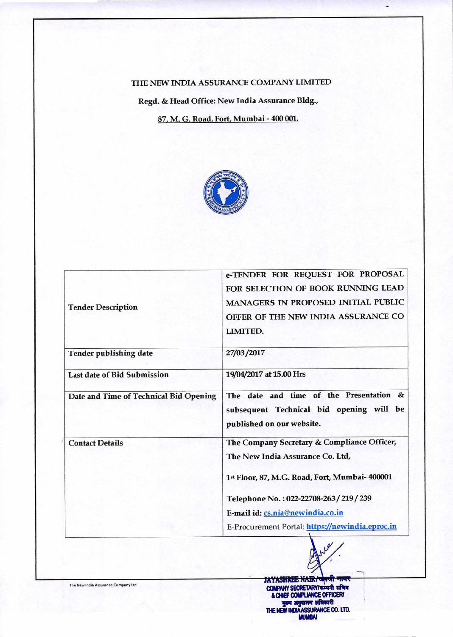### THE NEW INDIA ASSURANCE COMPANY LIMITED

Regd. & Head Office: New India Assurance Bldg., 87, M. G. Road, Fort, Mumbai - 400 001.



| <b>Tender Description</b>              | e-TENDER FOR REQUEST FOR PROPOSAL<br>FOR SELECTION OF BOOK RUNNING LEAD<br>MANAGERS IN PROPOSED INITIAL PUBLIC<br>OFFER OF THE NEW INDIA ASSURANCE CO<br>LIMITED. |
|----------------------------------------|-------------------------------------------------------------------------------------------------------------------------------------------------------------------|
| <b>Tender publishing date</b>          | 27/03/2017                                                                                                                                                        |
| <b>Last date of Bid Submission</b>     | 19/04/2017 at 15.00 Hrs                                                                                                                                           |
| Date and Time of Technical Bid Opening | The date and time of the Presentation &<br>subsequent Technical bid opening will be<br>published on our website.                                                  |
| <b>Contact Details</b>                 | The Company Secretary & Compliance Officer,<br>The New India Assurance Co. Ltd,<br>1st Floor, 87, M.G. Road, Fort, Mumbai- 400001                                 |
|                                        | Telephone No.: 022-22708-263/219/239<br>E-mail id: cs.nia@newindia.co.in<br>E-Procurement Portal: https://newindia.eproc.in                                       |

**LAYASHREE NAIR/G COMPANY SECRETARY/कम्पनी सबिद** & CHIEF COMPLIANCE OFFICE**RI**<br>**Year argumer ambassid THE NEW INDIAASSURANCE CO. LTD. MUMBAI** 

The New India Assurance Company Ltd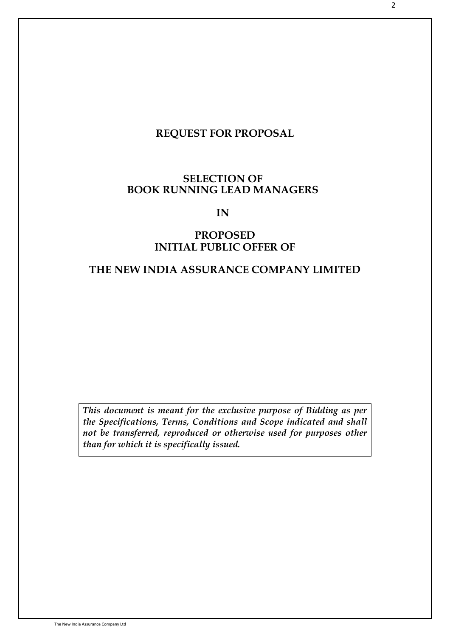# **REQUEST FOR PROPOSAL**

# **SELECTION OF BOOK RUNNING LEAD MANAGERS**

## **IN**

# **PROPOSED INITIAL PUBLIC OFFER OF**

# **THE NEW INDIA ASSURANCE COMPANY LIMITED**

*This document is meant for the exclusive purpose of Bidding as per the Specifications, Terms, Conditions and Scope indicated and shall not be transferred, reproduced or otherwise used for purposes other than for which it is specifically issued.*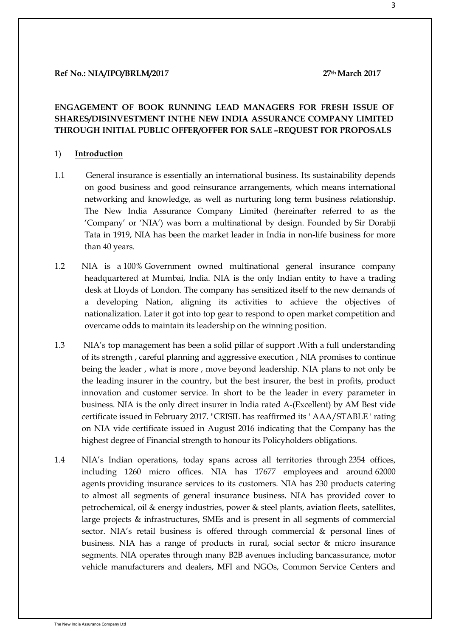#### **Ref No.: NIA/IPO/BRLM/2017 27th March 2017**

## **ENGAGEMENT OF BOOK RUNNING LEAD MANAGERS FOR FRESH ISSUE OF SHARES/DISINVESTMENT INTHE NEW INDIA ASSURANCE COMPANY LIMITED THROUGH INITIAL PUBLIC OFFER/OFFER FOR SALE –REQUEST FOR PROPOSALS**

#### 1) **Introduction**

- 1.1 General insurance is essentially an international business. Its sustainability depends on good business and good reinsurance arrangements, which means international networking and knowledge, as well as nurturing long term business relationship. The New India Assurance Company Limited (hereinafter referred to as the "Company" or "NIA") was born a multinational by design. Founded by Sir Dorabji Tata in 1919, NIA has been the market leader in India in non-life business for more than 40 years.
- 1.2 NIA is a 100% Government owned multinational general insurance company headquartered at Mumbai, India. NIA is the only Indian entity to have a trading desk at Lloyds of London. The company has sensitized itself to the new demands of a developing Nation, aligning its activities to achieve the objectives of nationalization. Later it got into top gear to respond to open market competition and overcame odds to maintain its leadership on the winning position.
- 1.3 NIA"s top management has been a solid pillar of support .With a full understanding of its strength , careful planning and aggressive execution , NIA promises to continue being the leader , what is more , move beyond leadership. NIA plans to not only be the leading insurer in the country, but the best insurer, the best in profits, product innovation and customer service. In short to be the leader in every parameter in business. NIA is the only direct insurer in India rated A-(Excellent) by AM Best vide certificate issued in February 2017. "CRISIL has reaffirmed its ' AAA/STABLE ' rating on NIA vide certificate issued in August 2016 indicating that the Company has the highest degree of Financial strength to honour its Policyholders obligations.
- 1.4 NIA"s Indian operations, today spans across all territories through 2354 offices, including 1260 micro offices. NIA has 17677 employees and around 62000 agents providing insurance services to its customers. NIA has 230 products catering to almost all segments of general insurance business. NIA has provided cover to petrochemical, oil & energy industries, power & steel plants, aviation fleets, satellites, large projects & infrastructures, SMEs and is present in all segments of commercial sector. NIA's retail business is offered through commercial & personal lines of business. NIA has a range of products in rural, social sector & micro insurance segments. NIA operates through many B2B avenues including bancassurance, motor vehicle manufacturers and dealers, MFI and NGOs, Common Service Centers and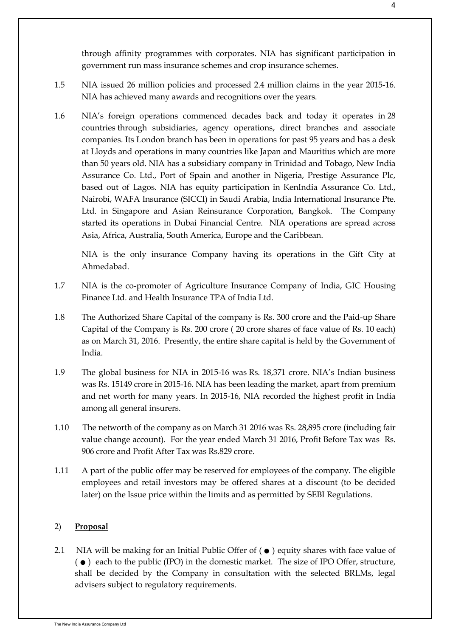through affinity programmes with corporates. NIA has significant participation in government run mass insurance schemes and crop insurance schemes.

- 1.5 NIA issued 26 million policies and processed 2.4 million claims in the year 2015-16. NIA has achieved many awards and recognitions over the years.
- 1.6 NIA"s foreign operations commenced decades back and today it operates in 28 countries through subsidiaries, agency operations, direct branches and associate companies. Its London branch has been in operations for past 95 years and has a desk at Lloyds and operations in many countries like Japan and Mauritius which are more than 50 years old. NIA has a subsidiary company in Trinidad and Tobago, New India Assurance Co. Ltd., Port of Spain and another in Nigeria, Prestige Assurance Plc, based out of Lagos. NIA has equity participation in KenIndia Assurance Co. Ltd., Nairobi, WAFA Insurance (SICCI) in Saudi Arabia, India International Insurance Pte. Ltd. in Singapore and Asian Reinsurance Corporation, Bangkok. The Company started its operations in Dubai Financial Centre. NIA operations are spread across Asia, Africa, Australia, South America, Europe and the Caribbean.

NIA is the only insurance Company having its operations in the Gift City at Ahmedabad.

- 1.7 NIA is the co-promoter of Agriculture Insurance Company of India, GIC Housing Finance Ltd. and Health Insurance TPA of India Ltd.
- 1.8 The Authorized Share Capital of the company is Rs. 300 crore and the Paid-up Share Capital of the Company is Rs. 200 crore ( 20 crore shares of face value of Rs. 10 each) as on March 31, 2016. Presently, the entire share capital is held by the Government of India.
- 1.9 The global business for NIA in 2015-16 was Rs. 18,371 crore. NIA"s Indian business was Rs. 15149 crore in 2015-16. NIA has been leading the market, apart from premium and net worth for many years. In 2015-16, NIA recorded the highest profit in India among all general insurers.
- 1.10 The networth of the company as on March 31 2016 was Rs. 28,895 crore (including fair value change account). For the year ended March 31 2016, Profit Before Tax was Rs. 906 crore and Profit After Tax was Rs.829 crore.
- 1.11 A part of the public offer may be reserved for employees of the company. The eligible employees and retail investors may be offered shares at a discount (to be decided later) on the Issue price within the limits and as permitted by SEBI Regulations.

#### 2) **Proposal**

2.1 **Proposal**<br>2.1 NIA will be making for an Initial Public Offer of  $(\bullet)$  equity shares with face value of  $(\bullet)$  each to the public (IPO) in the domestic market. The size of IPO Offer structure NIA will be making for an Initial Public Offer of  $( \bullet )$  equity shares with face value of  $( \bullet )$  each to the public (IPO) in the domestic market. The size of IPO Offer, structure, shall be decided by the Company in consul shall be decided by the Company in consultation with the selected BRLMs, legal advisers subject to regulatory requirements.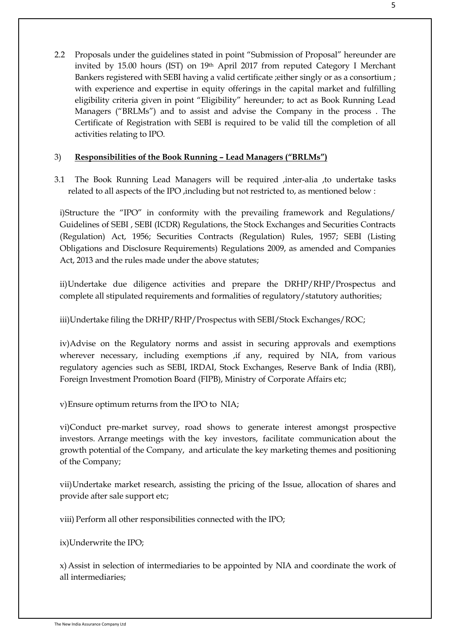2.2 Proposals under the guidelines stated in point "Submission of Proposal" hereunder are invited by 15.00 hours (IST) on 19th April 2017 from reputed Category I Merchant Bankers registered with SEBI having a valid certificate ;either singly or as a consortium ; with experience and expertise in equity offerings in the capital market and fulfilling eligibility criteria given in point "Eligibility" hereunder; to act as Book Running Lead Managers ("BRLMs") and to assist and advise the Company in the process . The Certificate of Registration with SEBI is required to be valid till the completion of all activities relating to IPO.

### 3) **Responsibilities of the Book Running – Lead Managers ("BRLMs")**

3.1 The Book Running Lead Managers will be required ,inter-alia ,to undertake tasks related to all aspects of the IPO ,including but not restricted to, as mentioned below :

i)Structure the "IPO" in conformity with the prevailing framework and Regulations/ Guidelines of SEBI , SEBI (ICDR) Regulations, the Stock Exchanges and Securities Contracts (Regulation) Act, 1956; Securities Contracts (Regulation) Rules, 1957; SEBI (Listing Obligations and Disclosure Requirements) Regulations 2009, as amended and Companies Act, 2013 and the rules made under the above statutes;

ii)Undertake due diligence activities and prepare the DRHP/RHP/Prospectus and complete all stipulated requirements and formalities of regulatory/statutory authorities;

iii)Undertake filing the DRHP/RHP/Prospectus with SEBI/Stock Exchanges/ROC;

iv)Advise on the Regulatory norms and assist in securing approvals and exemptions wherever necessary, including exemptions , if any, required by NIA, from various regulatory agencies such as SEBI, IRDAI, Stock Exchanges, Reserve Bank of India (RBI), Foreign Investment Promotion Board (FIPB), Ministry of Corporate Affairs etc;

v)Ensure optimum returns from the IPO to NIA;

vi)Conduct pre-market survey, road shows to generate interest amongst prospective investors. Arrange meetings with the key investors, facilitate communication about the growth potential of the Company, and articulate the key marketing themes and positioning of the Company;

vii)Undertake market research, assisting the pricing of the Issue, allocation of shares and provide after sale support etc;

viii) Perform all other responsibilities connected with the IPO;

ix)Underwrite the IPO;

x)Assist in selection of intermediaries to be appointed by NIA and coordinate the work of all intermediaries;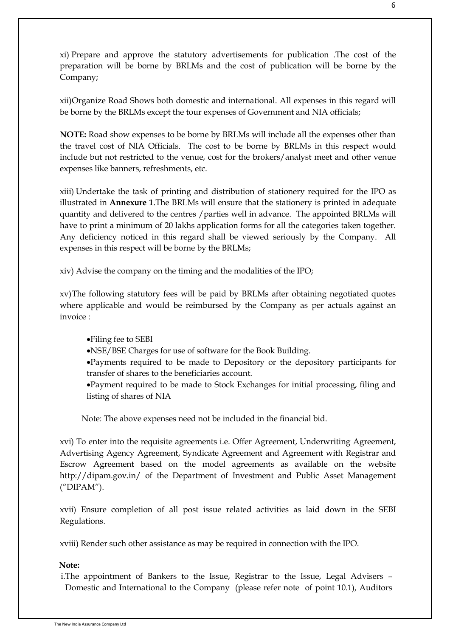xi) Prepare and approve the statutory advertisements for publication .The cost of the preparation will be borne by BRLMs and the cost of publication will be borne by the Company;

xii)Organize Road Shows both domestic and international. All expenses in this regard will be borne by the BRLMs except the tour expenses of Government and NIA officials;

**NOTE:** Road show expenses to be borne by BRLMs will include all the expenses other than the travel cost of NIA Officials. The cost to be borne by BRLMs in this respect would include but not restricted to the venue, cost for the brokers/analyst meet and other venue expenses like banners, refreshments, etc.

xiii) Undertake the task of printing and distribution of stationery required for the IPO as illustrated in **Annexure 1**.The BRLMs will ensure that the stationery is printed in adequate quantity and delivered to the centres /parties well in advance. The appointed BRLMs will have to print a minimum of 20 lakhs application forms for all the categories taken together. Any deficiency noticed in this regard shall be viewed seriously by the Company. All expenses in this respect will be borne by the BRLMs;

xiv) Advise the company on the timing and the modalities of the IPO;

xv)The following statutory fees will be paid by BRLMs after obtaining negotiated quotes where applicable and would be reimbursed by the Company as per actuals against an invoice :

### Filing fee to SEBI

NSE/BSE Charges for use of software for the Book Building.

Payments required to be made to Depository or the depository participants for transfer of shares to the beneficiaries account.

Payment required to be made to Stock Exchanges for initial processing, filing and listing of shares of NIA

Note: The above expenses need not be included in the financial bid.

xvi) To enter into the requisite agreements i.e. Offer Agreement, Underwriting Agreement, Advertising Agency Agreement, Syndicate Agreement and Agreement with Registrar and Escrow Agreement based on the model agreements as available on the website [http://dipam.gov.in/ o](http://dipam.gov.in/)f the Department of Investment and Public Asset Management ("DIPAM").

xvii) Ensure completion of all post issue related activities as laid down in the SEBI Regulations.

xviii) Render such other assistance as may be required in connection with the IPO.

#### **Note:**

i.The appointment of Bankers to the Issue, Registrar to the Issue, Legal Advisers – Domestic and International to the Company (please refer note of point 10.1), Auditors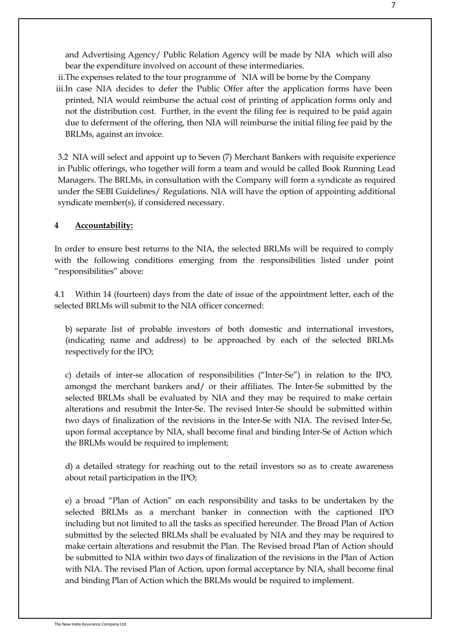and Advertising Agency/ Public Relation Agency will be made by NIA which will also bear the expenditure involved on account of these intermediaries.

ii.The expenses related to the tour programme of NIA will be borne by the Company iii.In case NIA decides to defer the Public Offer after the application forms have been printed, NIA would reimburse the actual cost of printing of application forms only and not the distribution cost. Further, in the event the filing fee is required to be paid again due to deferment of the offering, then NIA will reimburse the initial filing fee paid by the BRLMs, against an invoice.

3.2 NIA will select and appoint up to Seven (7) Merchant Bankers with requisite experience in Public offerings, who together will form a team and would be called Book Running Lead Managers. The BRLMs, in consultation with the Company will form a syndicate as required under the SEBI Guidelines/ Regulations. NIA will have the option of appointing additional syndicate member(s), if considered necessary.

#### **4 Accountability:**

In order to ensure best returns to the NIA, the selected BRLMs will be required to comply with the following conditions emerging from the responsibilities listed under point "responsibilities" above:

4.1 Within 14 (fourteen) days from the date of issue of the appointment letter, each of the selected BRLMs will submit to the NIA officer concerned:

b) separate list of probable investors of both domestic and international investors, (indicating name and address) to be approached by each of the selected BRLMs respectively for the IPO;

c) details of inter-se allocation of responsibilities ("Inter-Se") in relation to the IPO, amongst the merchant bankers and/ or their affiliates. The Inter-Se submitted by the selected BRLMs shall be evaluated by NIA and they may be required to make certain alterations and resubmit the Inter-Se. The revised Inter-Se should be submitted within two days of finalization of the revisions in the Inter-Se with NIA. The revised Inter-Se, upon formal acceptance by NIA, shall become final and binding Inter-Se of Action which the BRLMs would be required to implement;

d) a detailed strategy for reaching out to the retail investors so as to create awareness about retail participation in the IPO;

e) a broad "Plan of Action" on each responsibility and tasks to be undertaken by the selected BRLMs as a merchant banker in connection with the captioned IPO including but not limited to all the tasks as specified hereunder. The Broad Plan of Action submitted by the selected BRLMs shall be evaluated by NIA and they may be required to make certain alterations and resubmit the Plan. The Revised broad Plan of Action should be submitted to NIA within two days of finalization of the revisions in the Plan of Action with NIA. The revised Plan of Action, upon formal acceptance by NIA, shall become final and binding Plan of Action which the BRLMs would be required to implement.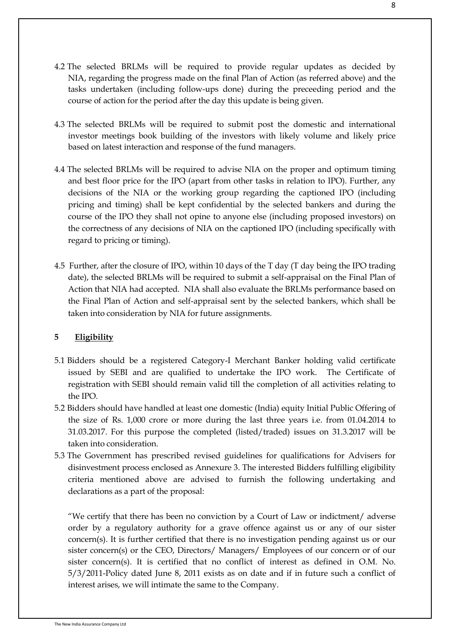- 4.2 The selected BRLMs will be required to provide regular updates as decided by NIA, regarding the progress made on the final Plan of Action (as referred above) and the tasks undertaken (including follow-ups done) during the preceeding period and the course of action for the period after the day this update is being given.
- 4.3 The selected BRLMs will be required to submit post the domestic and international investor meetings book building of the investors with likely volume and likely price based on latest interaction and response of the fund managers.
- 4.4 The selected BRLMs will be required to advise NIA on the proper and optimum timing and best floor price for the IPO (apart from other tasks in relation to IPO). Further, any decisions of the NIA or the working group regarding the captioned IPO (including pricing and timing) shall be kept confidential by the selected bankers and during the course of the IPO they shall not opine to anyone else (including proposed investors) on the correctness of any decisions of NIA on the captioned IPO (including specifically with regard to pricing or timing).
- 4.5 Further, after the closure of IPO, within 10 days of the T day (T day being the IPO trading date), the selected BRLMs will be required to submit a self-appraisal on the Final Plan of Action that NIA had accepted. NIA shall also evaluate the BRLMs performance based on the Final Plan of Action and self-appraisal sent by the selected bankers, which shall be taken into consideration by NIA for future assignments.

## **5 Eligibility**

- 5.1 Bidders should be a registered Category-I Merchant Banker holding valid certificate issued by SEBI and are qualified to undertake the IPO work. The Certificate of registration with SEBI should remain valid till the completion of all activities relating to the IPO.
- 5.2 Bidders should have handled at least one domestic (India) equity Initial Public Offering of the size of Rs. 1,000 crore or more during the last three years i.e. from 01.04.2014 to 31.03.2017. For this purpose the completed (listed/traded) issues on 31.3.2017 will be taken into consideration.
- 5.3 The Government has prescribed revised guidelines for qualifications for Advisers for disinvestment process enclosed as Annexure 3. The interested Bidders fulfilling eligibility criteria mentioned above are advised to furnish the following undertaking and declarations as a part of the proposal:

"We certify that there has been no conviction by a Court of Law or indictment/ adverse order by a regulatory authority for a grave offence against us or any of our sister concern(s). It is further certified that there is no investigation pending against us or our sister concern(s) or the CEO, Directors/ Managers/ Employees of our concern or of our sister concern(s). It is certified that no conflict of interest as defined in O.M. No. 5/3/2011-Policy dated June 8, 2011 exists as on date and if in future such a conflict of interest arises, we will intimate the same to the Company.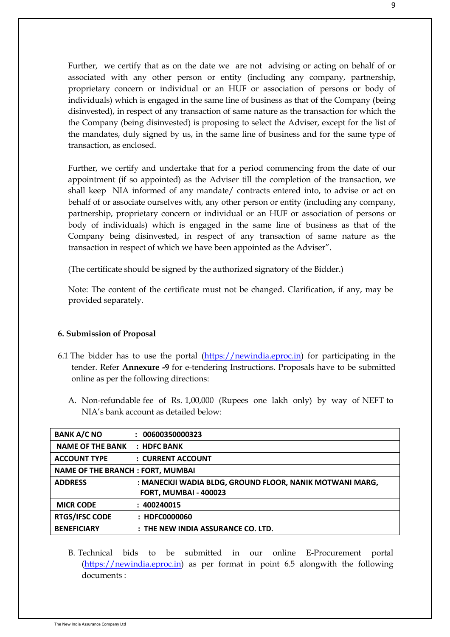Further, we certify that as on the date we are not advising or acting on behalf of or associated with any other person or entity (including any company, partnership, proprietary concern or individual or an HUF or association of persons or body of individuals) which is engaged in the same line of business as that of the Company (being disinvested), in respect of any transaction of same nature as the transaction for which the the Company (being disinvested) is proposing to select the Adviser, except for the list of the mandates, duly signed by us, in the same line of business and for the same type of transaction, as enclosed.

Further, we certify and undertake that for a period commencing from the date of our appointment (if so appointed) as the Adviser till the completion of the transaction, we shall keep NIA informed of any mandate/ contracts entered into, to advise or act on behalf of or associate ourselves with, any other person or entity (including any company, partnership, proprietary concern or individual or an HUF or association of persons or body of individuals) which is engaged in the same line of business as that of the Company being disinvested, in respect of any transaction of same nature as the transaction in respect of which we have been appointed as the Adviser".

(The certificate should be signed by the authorized signatory of the Bidder.)

Note: The content of the certificate must not be changed. Clarification, if any, may be provided separately.

### **6. Submission of Proposal**

- 6.1 The bidder has to use the portal  $(\frac{https://newindia.eproc.in)}{https://newindia.eproc.in)}$  for participating in the tender. Refer **Annexure -9** for e-tendering Instructions. Proposals have to be submitted online as per the following directions:
	- A. Non-refundable fee of Rs. 1,00,000 (Rupees one lakh only) by way of NEFT to NIA"s bank account as detailed below:

| <b>BANK A/C NO</b>                      | : 00600350000323                                         |
|-----------------------------------------|----------------------------------------------------------|
| <b>NAME OF THE BANK</b>                 | $:$ HDFC BANK                                            |
| <b>ACCOUNT TYPE</b>                     | : CURRENT ACCOUNT                                        |
| <b>NAME OF THE BRANCH: FORT, MUMBAI</b> |                                                          |
| <b>ADDRESS</b>                          | : MANECKJI WADIA BLDG, GROUND FLOOR, NANIK MOTWANI MARG, |
|                                         | <b>FORT, MUMBAI - 400023</b>                             |
| <b>MICR CODE</b>                        | : 400240015                                              |
| <b>RTGS/IFSC CODE</b>                   | : HDFC0000060                                            |
| <b>BENEFICIARY</b>                      | : THE NEW INDIA ASSURANCE CO. LTD.                       |

B. Technical bids to be submitted in our online E-Procurement portal [\(https://newindia.eproc.in\)](https://newindia.eproc.in/) as per format in point 6.5 alongwith the following documents :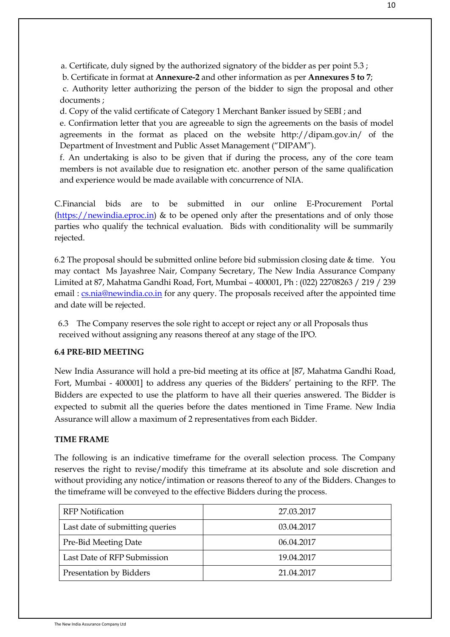a. Certificate, duly signed by the authorized signatory of the bidder as per point 5.3 ;

b. Certificate in format at **Annexure-2** and other information as per **Annexures 5 to 7**;

c. Authority letter authorizing the person of the bidder to sign the proposal and other documents ;

d. Copy of the valid certificate of Category 1 Merchant Banker issued by SEBI ; and

e. Confirmation letter that you are agreeable to sign the agreements on the basis of model agreements in the format as placed on the website http://dipam.gov.in/ of the Department of Investment and Public Asset Management ("DIPAM").

f. An undertaking is also to be given that if during the process, any of the core team members is not available due to resignation etc. another person of the same qualification and experience would be made available with concurrence of NIA.

C.Financial bids are to be submitted in our online E-Procurement Portal  $(\text{https://newindiaeproc.in)} \& \text{to be opened only after the presentations and of only those})$ parties who qualify the technical evaluation. Bids with conditionality will be summarily rejected.

6.2 The proposal should be submitted online before bid submission closing date & time. You may contact Ms Jayashree Nair, Company Secretary, The New India Assurance Company Limited at 87, Mahatma Gandhi Road, Fort, Mumbai – 400001, Ph : (022) 22708263 / 219 / 239 email : [cs.nia@newindia.co.in](mailto:cs.nia@newindia.co.in) for any query. The proposals received after the appointed time and date will be rejected.

6.3 The Company reserves the sole right to accept or reject any or all Proposals thus received without assigning any reasons thereof at any stage of the IPO.

### **6.4 PRE-BID MEETING**

New India Assurance will hold a pre-bid meeting at its office at [87, Mahatma Gandhi Road, Fort, Mumbai - 400001] to address any queries of the Bidders" pertaining to the RFP. The Bidders are expected to use the platform to have all their queries answered. The Bidder is expected to submit all the queries before the dates mentioned in Time Frame. New India Assurance will allow a maximum of 2 representatives from each Bidder.

#### **TIME FRAME**

The following is an indicative timeframe for the overall selection process. The Company reserves the right to revise/modify this timeframe at its absolute and sole discretion and without providing any notice/intimation or reasons thereof to any of the Bidders. Changes to the timeframe will be conveyed to the effective Bidders during the process.

| <b>RFP</b> Notification         | 27.03.2017 |
|---------------------------------|------------|
| Last date of submitting queries | 03.04.2017 |
| Pre-Bid Meeting Date            | 06.04.2017 |
| Last Date of RFP Submission     | 19.04.2017 |
| Presentation by Bidders         | 21.04.2017 |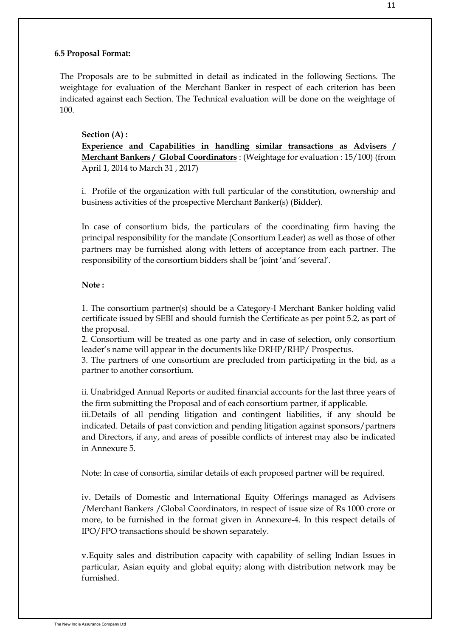#### **6.5 Proposal Format:**

The Proposals are to be submitted in detail as indicated in the following Sections. The weightage for evaluation of the Merchant Banker in respect of each criterion has been indicated against each Section. The Technical evaluation will be done on the weightage of 100.

#### **Section (A) :**

**Experience and Capabilities in handling similar transactions as Advisers / Merchant Bankers / Global Coordinators** : (Weightage for evaluation : 15/100) (from April 1, 2014 to March 31 , 2017)

i. Profile of the organization with full particular of the constitution, ownership and business activities of the prospective Merchant Banker(s) (Bidder).

In case of consortium bids, the particulars of the coordinating firm having the principal responsibility for the mandate (Consortium Leader) as well as those of other partners may be furnished along with letters of acceptance from each partner. The responsibility of the consortium bidders shall be "joint "and "several".

#### **Note :**

1. The consortium partner(s) should be a Category-I Merchant Banker holding valid certificate issued by SEBI and should furnish the Certificate as per point 5.2, as part of the proposal.

2. Consortium will be treated as one party and in case of selection, only consortium leader"s name will appear in the documents like DRHP/RHP/ Prospectus.

3. The partners of one consortium are precluded from participating in the bid, as a partner to another consortium.

ii. Unabridged Annual Reports or audited financial accounts for the last three years of the firm submitting the Proposal and of each consortium partner, if applicable.

iii.Details of all pending litigation and contingent liabilities, if any should be indicated. Details of past conviction and pending litigation against sponsors/partners and Directors, if any, and areas of possible conflicts of interest may also be indicated in Annexure 5.

Note: In case of consortia, similar details of each proposed partner will be required.

iv. Details of Domestic and International Equity Offerings managed as Advisers /Merchant Bankers /Global Coordinators, in respect of issue size of Rs 1000 crore or more, to be furnished in the format given in Annexure-4. In this respect details of IPO/FPO transactions should be shown separately.

v.Equity sales and distribution capacity with capability of selling Indian Issues in particular, Asian equity and global equity; along with distribution network may be furnished.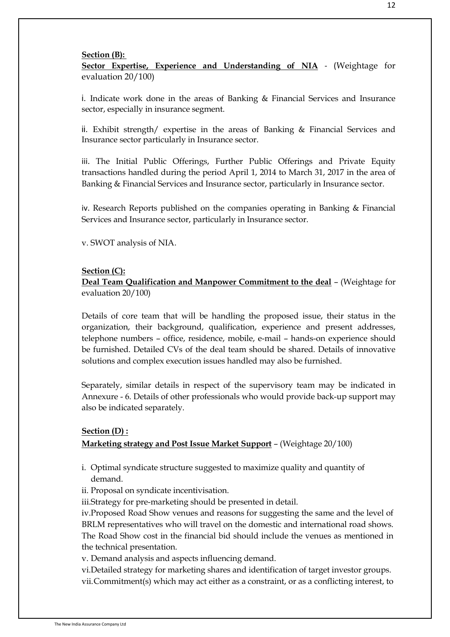#### **Section (B):**

**Sector Expertise, Experience and Understanding of NIA** - (Weightage for evaluation 20/100)

i. Indicate work done in the areas of Banking & Financial Services and Insurance sector, especially in insurance segment.

ii. Exhibit strength/ expertise in the areas of Banking  $\&$  Financial Services and Insurance sector particularly in Insurance sector.

iii. The Initial Public Offerings, Further Public Offerings and Private Equity transactions handled during the period April 1, 2014 to March 31, 2017 in the area of Banking & Financial Services and Insurance sector, particularly in Insurance sector.

iv. Research Reports published on the companies operating in Banking & Financial Services and Insurance sector, particularly in Insurance sector.

v. SWOT analysis of NIA.

#### **Section (C):**

**Deal Team Qualification and Manpower Commitment to the deal** – (Weightage for evaluation 20/100)

Details of core team that will be handling the proposed issue, their status in the organization, their background, qualification, experience and present addresses, telephone numbers – office, residence, mobile, e-mail – hands-on experience should be furnished. Detailed CVs of the deal team should be shared. Details of innovative solutions and complex execution issues handled may also be furnished.

Separately, similar details in respect of the supervisory team may be indicated in Annexure - 6. Details of other professionals who would provide back-up support may also be indicated separately.

#### **Section (D) :**

### **Marketing strategy and Post Issue Market Support** – (Weightage 20/100)

- i. Optimal syndicate structure suggested to maximize quality and quantity of demand.
- ii. Proposal on syndicate incentivisation.
- iii.Strategy for pre-marketing should be presented in detail.

iv.Proposed Road Show venues and reasons for suggesting the same and the level of BRLM representatives who will travel on the domestic and international road shows. The Road Show cost in the financial bid should include the venues as mentioned in the technical presentation.

v. Demand analysis and aspects influencing demand.

vi.Detailed strategy for marketing shares and identification of target investor groups. vii.Commitment(s) which may act either as a constraint, or as a conflicting interest, to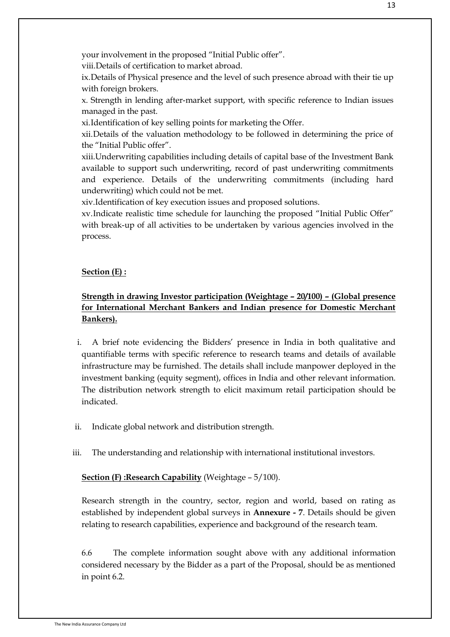your involvement in the proposed "Initial Public offer".

viii.Details of certification to market abroad.

ix.Details of Physical presence and the level of such presence abroad with their tie up with foreign brokers.

x. Strength in lending after-market support, with specific reference to Indian issues managed in the past.

xi.Identification of key selling points for marketing the Offer.

xii.Details of the valuation methodology to be followed in determining the price of the "Initial Public offer".

xiii.Underwriting capabilities including details of capital base of the Investment Bank available to support such underwriting, record of past underwriting commitments and experience. Details of the underwriting commitments (including hard underwriting) which could not be met.

xiv.Identification of key execution issues and proposed solutions.

xv.Indicate realistic time schedule for launching the proposed "Initial Public Offer" with break-up of all activities to be undertaken by various agencies involved in the process.

#### **Section (E) :**

## **Strength in drawing Investor participation (Weightage – 20/100) – (Global presence for International Merchant Bankers and Indian presence for Domestic Merchant Bankers).**

- i. A brief note evidencing the Bidders' presence in India in both qualitative and quantifiable terms with specific reference to research teams and details of available infrastructure may be furnished. The details shall include manpower deployed in the investment banking (equity segment), offices in India and other relevant information. The distribution network strength to elicit maximum retail participation should be indicated.
- ii. Indicate global network and distribution strength.
- iii. The understanding and relationship with international institutional investors.

#### **Section (F) :Research Capability** (Weightage – 5/100).

Research strength in the country, sector, region and world, based on rating as established by independent global surveys in **Annexure - 7**. Details should be given relating to research capabilities, experience and background of the research team.

6.6 The complete information sought above with any additional information considered necessary by the Bidder as a part of the Proposal, should be as mentioned in point 6.2.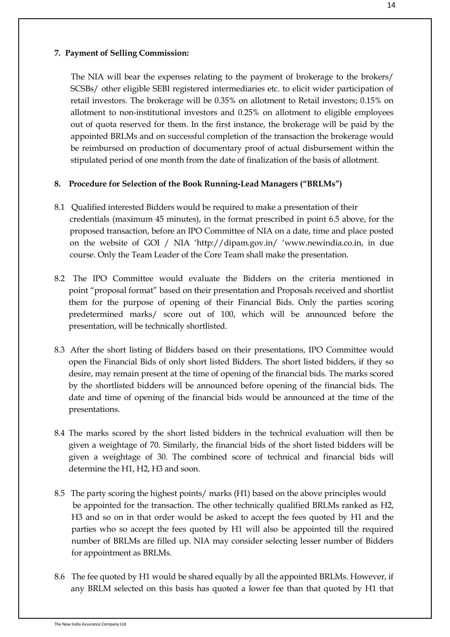### **7. Payment of Selling Commission:**

The NIA will bear the expenses relating to the payment of brokerage to the brokers/ SCSBs/ other eligible SEBI registered intermediaries etc. to elicit wider participation of retail investors. The brokerage will be 0.35% on allotment to Retail investors; 0.15% on allotment to non-institutional investors and 0.25% on allotment to eligible employees out of quota reserved for them. In the first instance, the brokerage will be paid by the appointed BRLMs and on successful completion of the transaction the brokerage would be reimbursed on production of documentary proof of actual disbursement within the stipulated period of one month from the date of finalization of the basis of allotment.

### **8. Procedure for Selection of the Book Running-Lead Managers ("BRLMs")**

- 8.1 Qualified interested Bidders would be required to make a presentation of their credentials (maximum 45 minutes), in the format prescribed in point 6.5 above, for the proposed transaction, before an IPO Committee of NIA on a date, time and place posted on the website of GOI / NIA "http://dipam.gov.in/ "www.newindia.co.in, in due course. Only the Team Leader of the Core Team shall make the presentation.
- 8.2 The IPO Committee would evaluate the Bidders on the criteria mentioned in point "proposal format" based on their presentation and Proposals received and shortlist them for the purpose of opening of their Financial Bids. Only the parties scoring predetermined marks/ score out of 100, which will be announced before the presentation, will be technically shortlisted.
- 8.3 After the short listing of Bidders based on their presentations, IPO Committee would open the Financial Bids of only short listed Bidders. The short listed bidders, if they so desire, may remain present at the time of opening of the financial bids. The marks scored by the shortlisted bidders will be announced before opening of the financial bids. The date and time of opening of the financial bids would be announced at the time of the presentations.
- 8.4 The marks scored by the short listed bidders in the technical evaluation will then be given a weightage of 70. Similarly, the financial bids of the short listed bidders will be given a weightage of 30. The combined score of technical and financial bids will determine the H1, H2, H3 and soon.
- 8.5 The party scoring the highest points/ marks (H1) based on the above principles would be appointed for the transaction. The other technically qualified BRLMs ranked as H2, H3 and so on in that order would be asked to accept the fees quoted by H1 and the parties who so accept the fees quoted by H1 will also be appointed till the required number of BRLMs are filled up. NIA may consider selecting lesser number of Bidders for appointment as BRLMs.
- 8.6 The fee quoted by H1 would be shared equally by all the appointed BRLMs. However, if any BRLM selected on this basis has quoted a lower fee than that quoted by H1 that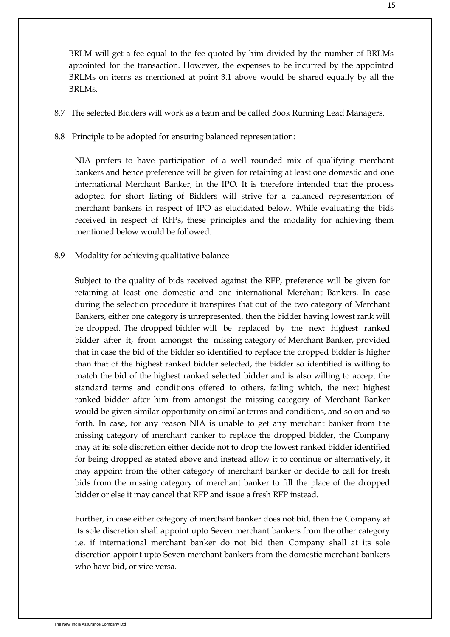BRLM will get a fee equal to the fee quoted by him divided by the number of BRLMs appointed for the transaction. However, the expenses to be incurred by the appointed BRLMs on items as mentioned at point 3.1 above would be shared equally by all the BRLMs.

- 8.7 The selected Bidders will work as a team and be called Book Running Lead Managers.
- 8.8 Principle to be adopted for ensuring balanced representation:

NIA prefers to have participation of a well rounded mix of qualifying merchant bankers and hence preference will be given for retaining at least one domestic and one international Merchant Banker, in the IPO. It is therefore intended that the process adopted for short listing of Bidders will strive for a balanced representation of merchant bankers in respect of IPO as elucidated below. While evaluating the bids received in respect of RFPs, these principles and the modality for achieving them mentioned below would be followed.

8.9 Modality for achieving qualitative balance

Subject to the quality of bids received against the RFP, preference will be given for retaining at least one domestic and one international Merchant Bankers. In case during the selection procedure it transpires that out of the two category of Merchant Bankers, either one category is unrepresented, then the bidder having lowest rank will be dropped. The dropped bidder will be replaced by the next highest ranked bidder after it, from amongst the missing category of Merchant Banker, provided that in case the bid of the bidder so identified to replace the dropped bidder is higher than that of the highest ranked bidder selected, the bidder so identified is willing to match the bid of the highest ranked selected bidder and is also willing to accept the standard terms and conditions offered to others, failing which, the next highest ranked bidder after him from amongst the missing category of Merchant Banker would be given similar opportunity on similar terms and conditions, and so on and so forth. In case, for any reason NIA is unable to get any merchant banker from the missing category of merchant banker to replace the dropped bidder, the Company may at its sole discretion either decide not to drop the lowest ranked bidder identified for being dropped as stated above and instead allow it to continue or alternatively, it may appoint from the other category of merchant banker or decide to call for fresh bids from the missing category of merchant banker to fill the place of the dropped bidder or else it may cancel that RFP and issue a fresh RFP instead.

Further, in case either category of merchant banker does not bid, then the Company at its sole discretion shall appoint upto Seven merchant bankers from the other category i.e. if international merchant banker do not bid then Company shall at its sole discretion appoint upto Seven merchant bankers from the domestic merchant bankers who have bid, or vice versa.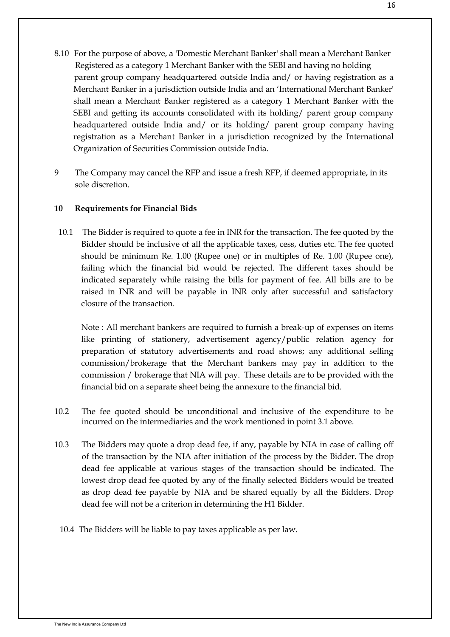- 8.10 For the purpose of above, a 'Domestic Merchant Banker' shall mean a Merchant Banker Registered as a category 1 Merchant Banker with the SEBI and having no holding parent group company headquartered outside India and/ or having registration as a Merchant Banker in a jurisdiction outside India and an "International Merchant Banker' shall mean a Merchant Banker registered as a category 1 Merchant Banker with the SEBI and getting its accounts consolidated with its holding/ parent group company headquartered outside India and/ or its holding/ parent group company having registration as a Merchant Banker in a jurisdiction recognized by the International Organization of Securities Commission outside India.
- 9 The Company may cancel the RFP and issue a fresh RFP, if deemed appropriate, in its sole discretion.

### **10 Requirements for Financial Bids**

10.1 The Bidder is required to quote a fee in INR for the transaction. The fee quoted by the Bidder should be inclusive of all the applicable taxes, cess, duties etc. The fee quoted should be minimum Re. 1.00 (Rupee one) or in multiples of Re. 1.00 (Rupee one), failing which the financial bid would be rejected. The different taxes should be indicated separately while raising the bills for payment of fee. All bills are to be raised in INR and will be payable in INR only after successful and satisfactory closure of the transaction.

Note : All merchant bankers are required to furnish a break-up of expenses on items like printing of stationery, advertisement agency/public relation agency for preparation of statutory advertisements and road shows; any additional selling commission/brokerage that the Merchant bankers may pay in addition to the commission / brokerage that NIA will pay. These details are to be provided with the financial bid on a separate sheet being the annexure to the financial bid.

- 10.2 The fee quoted should be unconditional and inclusive of the expenditure to be incurred on the intermediaries and the work mentioned in point 3.1 above.
- 10.3 The Bidders may quote a drop dead fee, if any, payable by NIA in case of calling off of the transaction by the NIA after initiation of the process by the Bidder. The drop dead fee applicable at various stages of the transaction should be indicated. The lowest drop dead fee quoted by any of the finally selected Bidders would be treated as drop dead fee payable by NIA and be shared equally by all the Bidders. Drop dead fee will not be a criterion in determining the H1 Bidder.
- 10.4 The Bidders will be liable to pay taxes applicable as per law.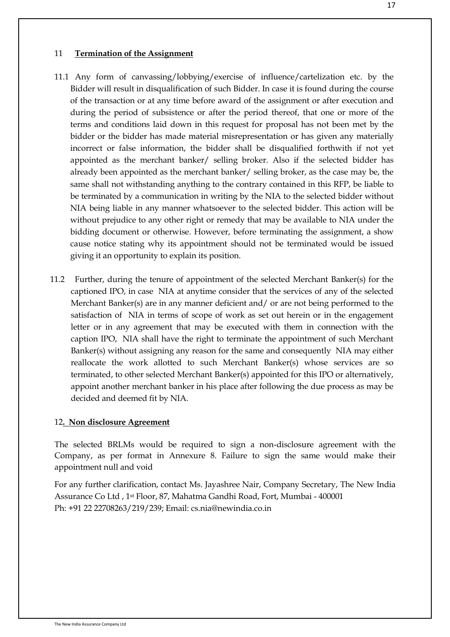#### 11 **Termination of the Assignment**

- 11.1 Any form of canvassing/lobbying/exercise of influence/cartelization etc. by the Bidder will result in disqualification of such Bidder. In case it is found during the course of the transaction or at any time before award of the assignment or after execution and during the period of subsistence or after the period thereof, that one or more of the terms and conditions laid down in this request for proposal has not been met by the bidder or the bidder has made material misrepresentation or has given any materially incorrect or false information, the bidder shall be disqualified forthwith if not yet appointed as the merchant banker/ selling broker. Also if the selected bidder has already been appointed as the merchant banker/ selling broker, as the case may be, the same shall not withstanding anything to the contrary contained in this RFP, be liable to be terminated by a communication in writing by the NIA to the selected bidder without NIA being liable in any manner whatsoever to the selected bidder. This action will be without prejudice to any other right or remedy that may be available to NIA under the bidding document or otherwise. However, before terminating the assignment, a show cause notice stating why its appointment should not be terminated would be issued giving it an opportunity to explain its position.
- 11.2 Further, during the tenure of appointment of the selected Merchant Banker(s) for the captioned IPO, in case NIA at anytime consider that the services of any of the selected Merchant Banker(s) are in any manner deficient and/ or are not being performed to the satisfaction of NIA in terms of scope of work as set out herein or in the engagement letter or in any agreement that may be executed with them in connection with the caption IPO, NIA shall have the right to terminate the appointment of such Merchant Banker(s) without assigning any reason for the same and consequently NIA may either reallocate the work allotted to such Merchant Banker(s) whose services are so terminated, to other selected Merchant Banker(s) appointed for this IPO or alternatively, appoint another merchant banker in his place after following the due process as may be decided and deemed fit by NIA.

#### 12**. Non disclosure Agreement**

The selected BRLMs would be required to sign a non-disclosure agreement with the Company, as per format in Annexure 8. Failure to sign the same would make their appointment null and void

For any further clarification, contact Ms. Jayashree Nair, Company Secretary, The New India Assurance Co Ltd , 1st Floor, 87, Mahatma Gandhi Road, Fort, Mumbai - 400001 Ph: +91 22 22708263/219/239; Email: cs.nia@newindia.co.in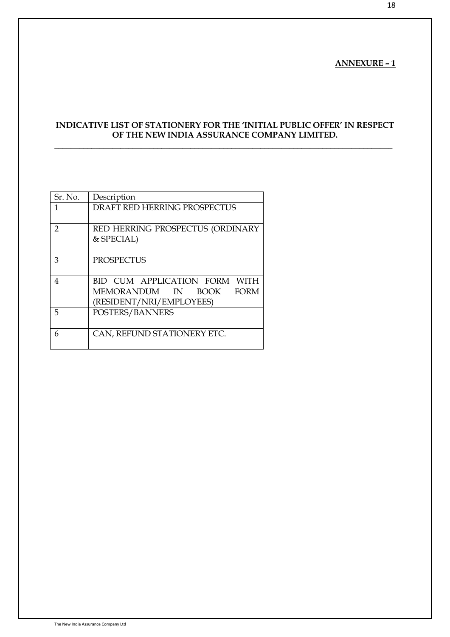### **ANNEXURE – 1**

18

## **INDICATIVE LIST OF STATIONERY FOR THE "INITIAL PUBLIC OFFER" IN RESPECT OF THE NEW INDIA ASSURANCE COMPANY LIMITED.**

**\_\_\_\_\_\_\_\_\_\_\_\_\_\_\_\_\_\_\_\_\_\_\_\_\_\_\_\_\_\_\_\_\_\_\_\_\_\_\_\_\_\_\_\_\_\_\_\_\_\_\_\_\_\_\_\_\_\_\_\_\_\_\_\_\_\_\_\_\_\_\_\_\_\_\_\_\_\_\_\_\_\_**

| Sr. No.        | Description                                 |
|----------------|---------------------------------------------|
| 1              | <b>DRAFT RED HERRING PROSPECTUS</b>         |
|                |                                             |
| $\overline{2}$ | RED HERRING PROSPECTUS (ORDINARY            |
|                | & SPECIAL)                                  |
|                |                                             |
| 3              | <b>PROSPECTUS</b>                           |
|                |                                             |
| 4              | BID CUM APPLICATION FORM WITH               |
|                | MEMORANDUM IN<br><b>FORM</b><br><b>BOOK</b> |
|                | (RESIDENT/NRI/EMPLOYEES)                    |
| 5              | POSTERS/BANNERS                             |
|                |                                             |
| 6              | CAN, REFUND STATIONERY ETC.                 |
|                |                                             |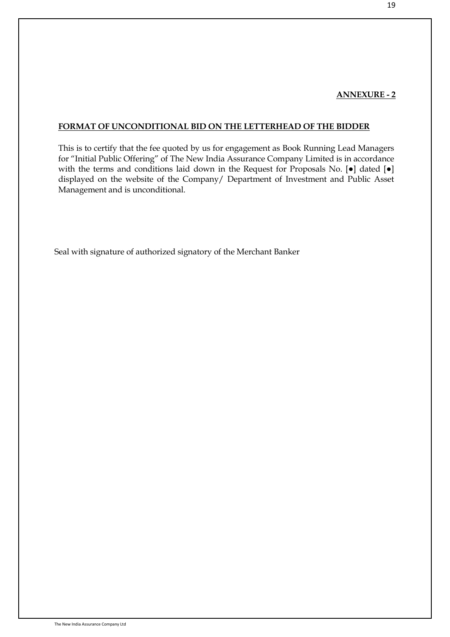### **ANNEXURE - 2**

### **FORMAT OF UNCONDITIONAL BID ON THE LETTERHEAD OF THE BIDDER**

This is to certify that the fee quoted by us for engagement as Book Running Lead Managers for "Initial Public Offering" of The New India Assurance Company Limited is in accordance with the terms and conditions laid down in the Request for Proposals No. [ $\bullet$ ] dated [ $\bullet$ ] displayed on the website of the Company/ Department of Investment and Public Asset Management and is unconditional.

Seal with signature of authorized signatory of the Merchant Banker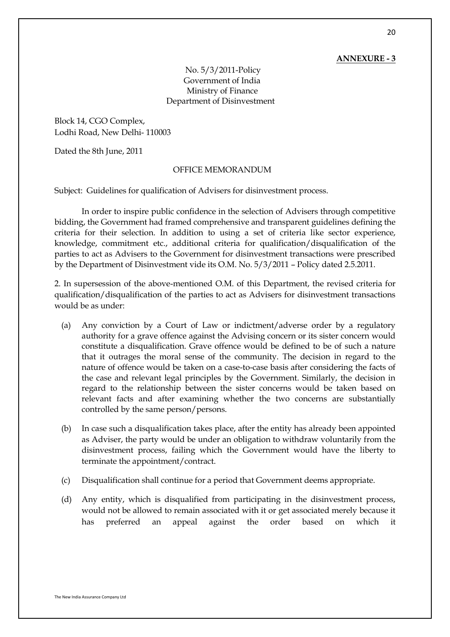#### **ANNEXURE - 3**

No. 5/3/2011-Policy Government of India Ministry of Finance Department of Disinvestment

Block 14, CGO Complex, Lodhi Road, New Delhi- 110003

Dated the 8th June, 2011

#### OFFICE MEMORANDUM

Subject: Guidelines for qualification of Advisers for disinvestment process.

In order to inspire public confidence in the selection of Advisers through competitive bidding, the Government had framed comprehensive and transparent guidelines defining the criteria for their selection. In addition to using a set of criteria like sector experience, knowledge, commitment etc., additional criteria for qualification/disqualification of the parties to act as Advisers to the Government for disinvestment transactions were prescribed by the Department of Disinvestment vide its O.M. No. 5/3/2011 – Policy dated 2.5.2011.

2. In supersession of the above-mentioned O.M. of this Department, the revised criteria for qualification/disqualification of the parties to act as Advisers for disinvestment transactions would be as under:

- (a) Any conviction by a Court of Law or indictment/adverse order by a regulatory authority for a grave offence against the Advising concern or its sister concern would constitute a disqualification. Grave offence would be defined to be of such a nature that it outrages the moral sense of the community. The decision in regard to the nature of offence would be taken on a case-to-case basis after considering the facts of the case and relevant legal principles by the Government. Similarly, the decision in regard to the relationship between the sister concerns would be taken based on relevant facts and after examining whether the two concerns are substantially controlled by the same person/persons.
- (b) In case such a disqualification takes place, after the entity has already been appointed as Adviser, the party would be under an obligation to withdraw voluntarily from the disinvestment process, failing which the Government would have the liberty to terminate the appointment/contract.
- (c) Disqualification shall continue for a period that Government deems appropriate.
- (d) Any entity, which is disqualified from participating in the disinvestment process, would not be allowed to remain associated with it or get associated merely because it has preferred an appeal against the order based on which it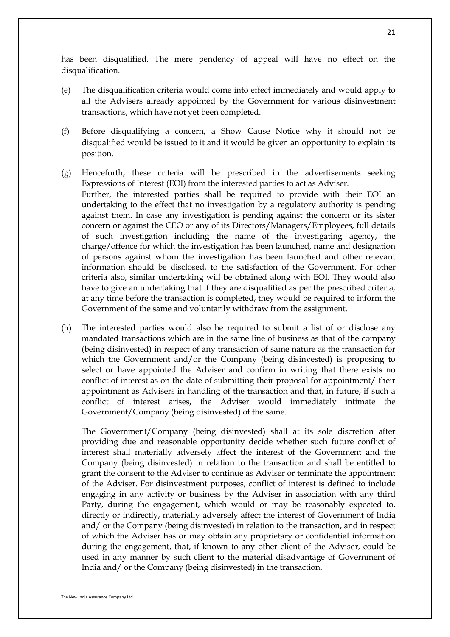has been disqualified. The mere pendency of appeal will have no effect on the disqualification.

- (e) The disqualification criteria would come into effect immediately and would apply to all the Advisers already appointed by the Government for various disinvestment transactions, which have not yet been completed.
- (f) Before disqualifying a concern, a Show Cause Notice why it should not be disqualified would be issued to it and it would be given an opportunity to explain its position.
- (g) Henceforth, these criteria will be prescribed in the advertisements seeking Expressions of Interest (EOI) from the interested parties to act as Adviser. Further, the interested parties shall be required to provide with their EOI an undertaking to the effect that no investigation by a regulatory authority is pending against them. In case any investigation is pending against the concern or its sister concern or against the CEO or any of its Directors/Managers/Employees, full details of such investigation including the name of the investigating agency, the charge/offence for which the investigation has been launched, name and designation of persons against whom the investigation has been launched and other relevant information should be disclosed, to the satisfaction of the Government. For other criteria also, similar undertaking will be obtained along with EOI. They would also have to give an undertaking that if they are disqualified as per the prescribed criteria, at any time before the transaction is completed, they would be required to inform the Government of the same and voluntarily withdraw from the assignment.
- (h) The interested parties would also be required to submit a list of or disclose any mandated transactions which are in the same line of business as that of the company (being disinvested) in respect of any transaction of same nature as the transaction for which the Government and/or the Company (being disinvested) is proposing to select or have appointed the Adviser and confirm in writing that there exists no conflict of interest as on the date of submitting their proposal for appointment/ their appointment as Advisers in handling of the transaction and that, in future, if such a conflict of interest arises, the Adviser would immediately intimate the Government/Company (being disinvested) of the same.

The Government/Company (being disinvested) shall at its sole discretion after providing due and reasonable opportunity decide whether such future conflict of interest shall materially adversely affect the interest of the Government and the Company (being disinvested) in relation to the transaction and shall be entitled to grant the consent to the Adviser to continue as Adviser or terminate the appointment of the Adviser. For disinvestment purposes, conflict of interest is defined to include engaging in any activity or business by the Adviser in association with any third Party, during the engagement, which would or may be reasonably expected to, directly or indirectly, materially adversely affect the interest of Government of India and/ or the Company (being disinvested) in relation to the transaction, and in respect of which the Adviser has or may obtain any proprietary or confidential information during the engagement, that, if known to any other client of the Adviser, could be used in any manner by such client to the material disadvantage of Government of India and/ or the Company (being disinvested) in the transaction.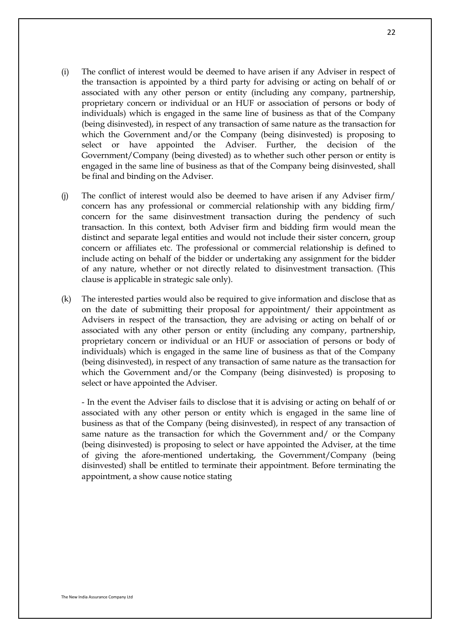- (i) The conflict of interest would be deemed to have arisen if any Adviser in respect of the transaction is appointed by a third party for advising or acting on behalf of or associated with any other person or entity (including any company, partnership, proprietary concern or individual or an HUF or association of persons or body of individuals) which is engaged in the same line of business as that of the Company (being disinvested), in respect of any transaction of same nature as the transaction for which the Government and/or the Company (being disinvested) is proposing to select or have appointed the Adviser. Further, the decision of the Government/Company (being divested) as to whether such other person or entity is engaged in the same line of business as that of the Company being disinvested, shall be final and binding on the Adviser.
- (j) The conflict of interest would also be deemed to have arisen if any Adviser firm/ concern has any professional or commercial relationship with any bidding firm/ concern for the same disinvestment transaction during the pendency of such transaction. In this context, both Adviser firm and bidding firm would mean the distinct and separate legal entities and would not include their sister concern, group concern or affiliates etc. The professional or commercial relationship is defined to include acting on behalf of the bidder or undertaking any assignment for the bidder of any nature, whether or not directly related to disinvestment transaction. (This clause is applicable in strategic sale only).
- (k) The interested parties would also be required to give information and disclose that as on the date of submitting their proposal for appointment/ their appointment as Advisers in respect of the transaction, they are advising or acting on behalf of or associated with any other person or entity (including any company, partnership, proprietary concern or individual or an HUF or association of persons or body of individuals) which is engaged in the same line of business as that of the Company (being disinvested), in respect of any transaction of same nature as the transaction for which the Government and/or the Company (being disinvested) is proposing to select or have appointed the Adviser.

- In the event the Adviser fails to disclose that it is advising or acting on behalf of or associated with any other person or entity which is engaged in the same line of business as that of the Company (being disinvested), in respect of any transaction of same nature as the transaction for which the Government and/ or the Company (being disinvested) is proposing to select or have appointed the Adviser, at the time of giving the afore-mentioned undertaking, the Government/Company (being disinvested) shall be entitled to terminate their appointment. Before terminating the appointment, a show cause notice stating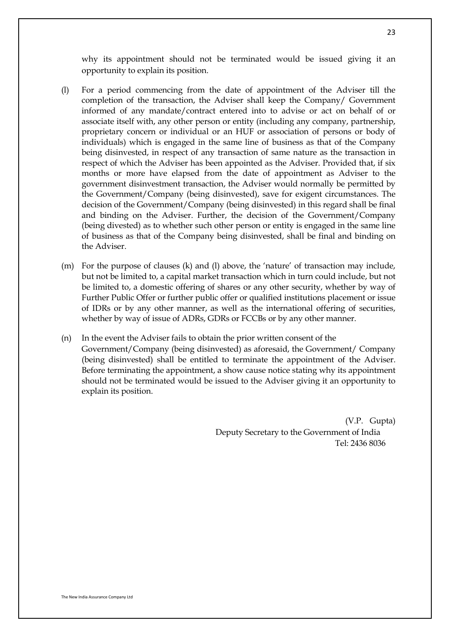why its appointment should not be terminated would be issued giving it an opportunity to explain its position.

- (l) For a period commencing from the date of appointment of the Adviser till the completion of the transaction, the Adviser shall keep the Company/ Government informed of any mandate/contract entered into to advise or act on behalf of or associate itself with, any other person or entity (including any company, partnership, proprietary concern or individual or an HUF or association of persons or body of individuals) which is engaged in the same line of business as that of the Company being disinvested, in respect of any transaction of same nature as the transaction in respect of which the Adviser has been appointed as the Adviser. Provided that, if six months or more have elapsed from the date of appointment as Adviser to the government disinvestment transaction, the Adviser would normally be permitted by the Government/Company (being disinvested), save for exigent circumstances. The decision of the Government/Company (being disinvested) in this regard shall be final and binding on the Adviser. Further, the decision of the Government/Company (being divested) as to whether such other person or entity is engaged in the same line of business as that of the Company being disinvested, shall be final and binding on the Adviser.
- (m) For the purpose of clauses (k) and (l) above, the "nature" of transaction may include, but not be limited to, a capital market transaction which in turn could include, but not be limited to, a domestic offering of shares or any other security, whether by way of Further Public Offer or further public offer or qualified institutions placement or issue of IDRs or by any other manner, as well as the international offering of securities, whether by way of issue of ADRs, GDRs or FCCBs or by any other manner.
- (n) In the event the Adviser fails to obtain the prior written consent of the Government/Company (being disinvested) as aforesaid, the Government/ Company (being disinvested) shall be entitled to terminate the appointment of the Adviser. Before terminating the appointment, a show cause notice stating why its appointment should not be terminated would be issued to the Adviser giving it an opportunity to explain its position.

(V.P. Gupta) Deputy Secretary to the Government of India Tel: 2436 8036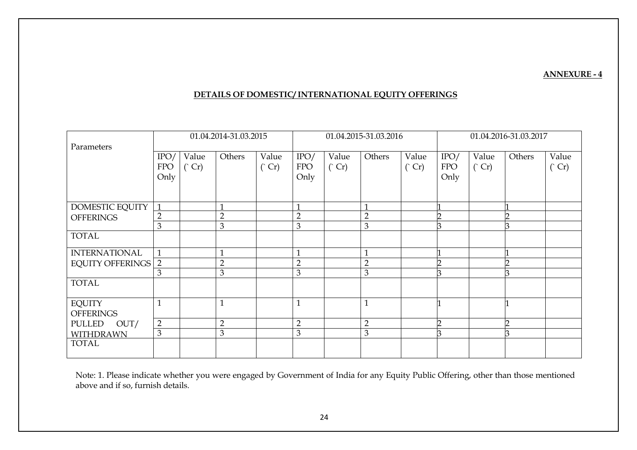#### **ANNEXURE - 4**

### **DETAILS OF DOMESTIC/ INTERNATIONAL EQUITY OFFERINGS**

|                                   | 01.04.2014-31.03.2015 |              | 01.04.2015-31.03.2016 |               |                | 01.04.2016-31.03.2017 |                         |              |            |              |        |                |
|-----------------------------------|-----------------------|--------------|-----------------------|---------------|----------------|-----------------------|-------------------------|--------------|------------|--------------|--------|----------------|
| Parameters                        |                       |              |                       |               |                |                       |                         |              |            |              |        |                |
|                                   | IPO/                  | Value        | Others                | Value         | IPO/           | Value                 | Others                  | Value        | IPO/       | Value        | Others | Value          |
|                                   | <b>FPO</b>            | $\hat{C}$ Cr |                       | $\hat{C}$ Cr) | <b>FPO</b>     | $\hat{C}$ Cr          |                         | $\hat{C}$ Cr | <b>FPO</b> | $\hat{C}$ Cr |        | $\binom{C}{r}$ |
|                                   | Only                  |              |                       |               | Only           |                       |                         |              | Only       |              |        |                |
|                                   |                       |              |                       |               |                |                       |                         |              |            |              |        |                |
|                                   |                       |              |                       |               |                |                       |                         |              |            |              |        |                |
| DOMESTIC EQUITY                   | $\mathbf{1}$          |              | $\mathbf 1$           |               | -1             |                       | $\mathbf{\overline{1}}$ |              |            |              |        |                |
| <b>OFFERINGS</b>                  | $\overline{2}$        |              | $\overline{2}$        |               | $\overline{2}$ |                       | $\overline{2}$          |              |            |              |        |                |
|                                   | 3                     |              | $\mathfrak{B}$        |               | 3              |                       | 3                       |              |            |              |        |                |
| <b>TOTAL</b>                      |                       |              |                       |               |                |                       |                         |              |            |              |        |                |
| <b>INTERNATIONAL</b>              | $\mathbf{1}$          |              | $\mathbf{1}$          |               |                |                       | $\mathbf{1}$            |              |            |              |        |                |
| <b>EQUITY OFFERINGS   2</b>       |                       |              | $\overline{2}$        |               | $\overline{2}$ |                       | $\overline{2}$          |              |            |              |        |                |
|                                   | 3                     |              | $\mathfrak{B}$        |               | 3              |                       | 3                       |              |            |              |        |                |
| <b>TOTAL</b>                      |                       |              |                       |               |                |                       |                         |              |            |              |        |                |
| <b>EQUITY</b><br><b>OFFERINGS</b> | $\mathbf{1}$          |              | $\mathbf{1}$          |               | $\mathbf{1}$   |                       | $\mathbf{1}$            |              |            |              |        |                |
| <b>PULLED</b><br>OUT/             | $\overline{2}$        |              | $\overline{2}$        |               | $\overline{2}$ |                       | $\overline{2}$          |              |            |              |        |                |
| <b>WITHDRAWN</b>                  | 3                     |              | 3                     |               | 3              |                       | 3                       |              |            |              |        |                |
| <b>TOTAL</b>                      |                       |              |                       |               |                |                       |                         |              |            |              |        |                |

Note: 1. Please indicate whether you were engaged by Government of India for any Equity Public Offering, other than those mentioned above and if so, furnish details.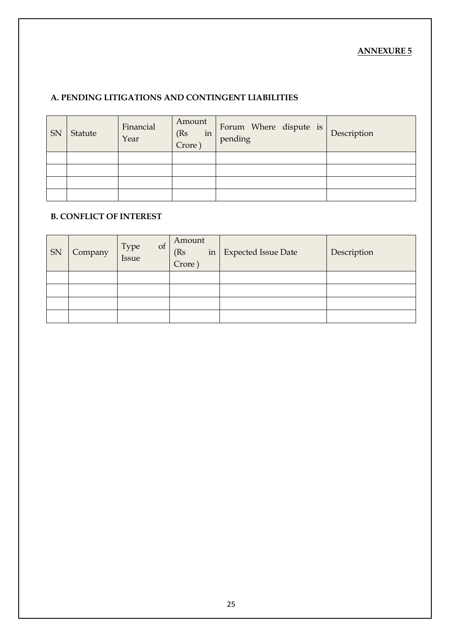## **ANNEXURE 5**

# **A. PENDING LITIGATIONS AND CONTINGENT LIABILITIES**

| SN | Statute | Financial<br>Year | Amount<br>(Rs<br>in<br>Crore | Forum Where dispute is<br>pending | Description |
|----|---------|-------------------|------------------------------|-----------------------------------|-------------|
|    |         |                   |                              |                                   |             |
|    |         |                   |                              |                                   |             |
|    |         |                   |                              |                                   |             |
|    |         |                   |                              |                                   |             |

# **B. CONFLICT OF INTEREST**

| SN | Company | of<br>Type<br>Issue | Amount<br>(Rs)<br>Crore) | in   Expected Issue Date | Description |
|----|---------|---------------------|--------------------------|--------------------------|-------------|
|    |         |                     |                          |                          |             |
|    |         |                     |                          |                          |             |
|    |         |                     |                          |                          |             |
|    |         |                     |                          |                          |             |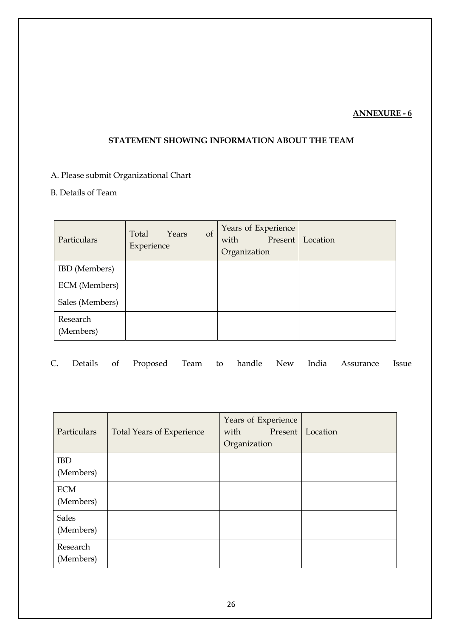## **ANNEXURE - 6**

## **STATEMENT SHOWING INFORMATION ABOUT THE TEAM**

# A. Please submit Organizational Chart

## B. Details of Team

| Particulars           | of<br>Total<br>Years<br>Experience | Years of Experience<br>Present<br>with<br>Organization | Location |
|-----------------------|------------------------------------|--------------------------------------------------------|----------|
| <b>IBD</b> (Members)  |                                    |                                                        |          |
| ECM (Members)         |                                    |                                                        |          |
| Sales (Members)       |                                    |                                                        |          |
| Research<br>(Members) |                                    |                                                        |          |

|  |  |  |  |  |  |  |  |  | C. Details of Proposed Team to handle New India Assurance Issue |  |
|--|--|--|--|--|--|--|--|--|-----------------------------------------------------------------|--|
|--|--|--|--|--|--|--|--|--|-----------------------------------------------------------------|--|

| Particulars               | <b>Total Years of Experience</b> | Years of Experience<br>with<br>Present<br>Organization | Location |
|---------------------------|----------------------------------|--------------------------------------------------------|----------|
| <b>IBD</b><br>(Members)   |                                  |                                                        |          |
| <b>ECM</b><br>(Members)   |                                  |                                                        |          |
| <b>Sales</b><br>(Members) |                                  |                                                        |          |
| Research<br>(Members)     |                                  |                                                        |          |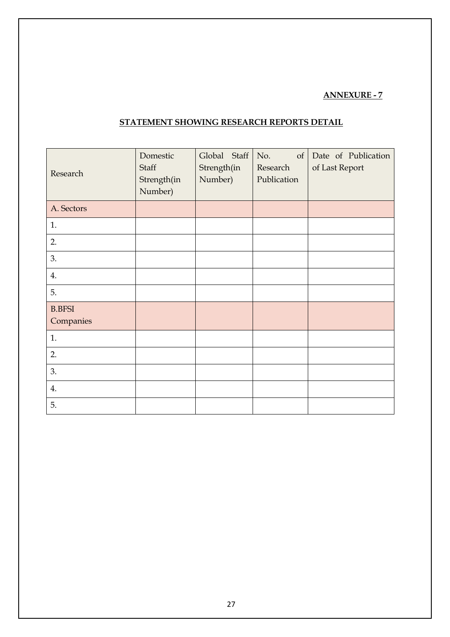## **ANNEXURE - 7**

| Research                   | Domestic<br>Staff<br>Strength(in<br>Number) | Global Staff<br>Strength(in<br>Number) | No.<br>of<br>Research<br>Publication | Date of Publication<br>of Last Report |
|----------------------------|---------------------------------------------|----------------------------------------|--------------------------------------|---------------------------------------|
| A. Sectors                 |                                             |                                        |                                      |                                       |
| 1.                         |                                             |                                        |                                      |                                       |
| 2.                         |                                             |                                        |                                      |                                       |
| 3.                         |                                             |                                        |                                      |                                       |
| 4.                         |                                             |                                        |                                      |                                       |
| 5.                         |                                             |                                        |                                      |                                       |
| <b>B.BFSI</b><br>Companies |                                             |                                        |                                      |                                       |
| 1.                         |                                             |                                        |                                      |                                       |
| 2.                         |                                             |                                        |                                      |                                       |
| 3.                         |                                             |                                        |                                      |                                       |
| 4.                         |                                             |                                        |                                      |                                       |
| 5.                         |                                             |                                        |                                      |                                       |

## **STATEMENT SHOWING RESEARCH REPORTS DETAIL**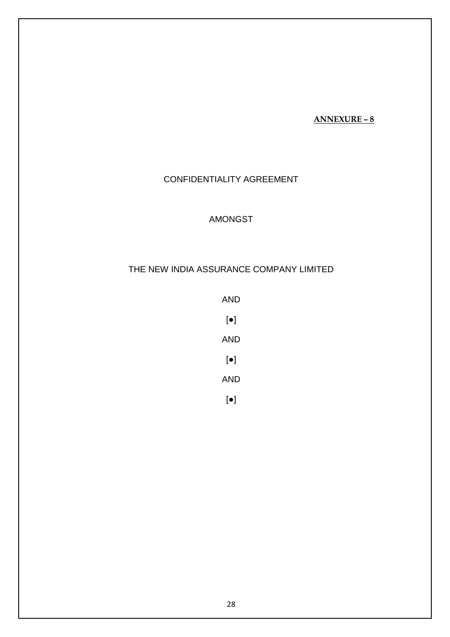### **ANNEXURE – 8**

## CONFIDENTIALITY AGREEMENT

## AMONGST

## THE NEW INDIA ASSURANCE COMPANY LIMITED

- AND [●] AND [●] AND
- [●]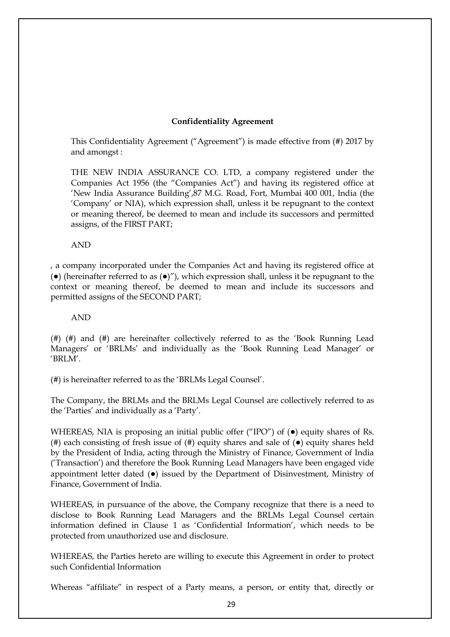### **Confidentiality Agreement**

This Confidentiality Agreement ("Agreement") is made effective from (#) 2017 by and amongst :

THE NEW INDIA ASSURANCE CO. LTD, a company registered under the Companies Act 1956 (the "Companies Act") and having its registered office at "New India Assurance Building",87 M.G. Road, Fort, Mumbai 400 001, India (the "Company" or NIA), which expression shall, unless it be repugnant to the context or meaning thereof, be deemed to mean and include its successors and permitted assigns, of the FIRST PART;

AND

, a company incorporated under the Companies Act and having its registered office at ( $\bullet$ ) (hereinafter referred to as  $(\bullet)$ "), which expression shall, unless it be repugnant to the context or meaning thereof, be deemed to mean and include its successors and permitted assigns of the SECOND PART;

AND

(#) (#) and (#) are hereinafter collectively referred to as the "Book Running Lead Managers' or 'BRLMs' and individually as the 'Book Running Lead Manager' or "BRLM".

(#) is hereinafter referred to as the "BRLMs Legal Counsel".

The Company, the BRLMs and the BRLMs Legal Counsel are collectively referred to as the 'Parties' and individually as a 'Party'.

WHEREAS, NIA is proposing an initial public offer ("IPO") of (●) equity shares of Rs. (#) each consisting of fresh issue of (#) equity shares and sale of (●) equity shares held by the President of India, acting through the Ministry of Finance, Government of India ("Transaction") and therefore the Book Running Lead Managers have been engaged vide appointment letter dated (●) issued by the Department of Disinvestment, Ministry of Finance, Government of India.

WHEREAS, in pursuance of the above, the Company recognize that there is a need to disclose to Book Running Lead Managers and the BRLMs Legal Counsel certain information defined in Clause 1 as "Confidential Information", which needs to be protected from unauthorized use and disclosure.

WHEREAS, the Parties hereto are willing to execute this Agreement in order to protect such Confidential Information

Whereas "affiliate" in respect of a Party means, a person, or entity that, directly or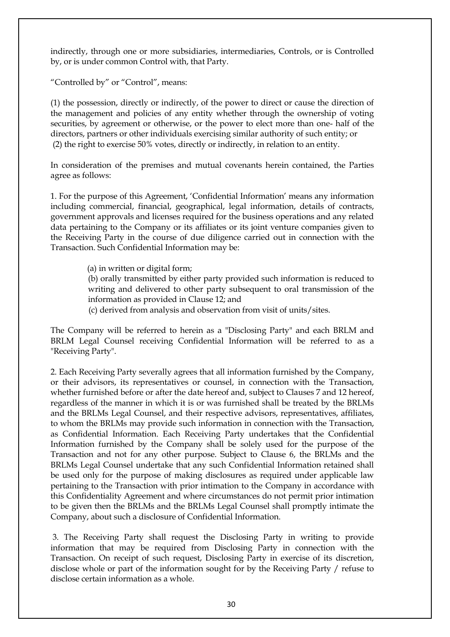indirectly, through one or more subsidiaries, intermediaries, Controls, or is Controlled by, or is under common Control with, that Party.

"Controlled by" or "Control", means:

(1) the possession, directly or indirectly, of the power to direct or cause the direction of the management and policies of any entity whether through the ownership of voting securities, by agreement or otherwise, or the power to elect more than one- half of the directors, partners or other individuals exercising similar authority of such entity; or (2) the right to exercise 50% votes, directly or indirectly, in relation to an entity.

In consideration of the premises and mutual covenants herein contained, the Parties agree as follows:

1. For the purpose of this Agreement, "Confidential Information" means any information including commercial, financial, geographical, legal information, details of contracts, government approvals and licenses required for the business operations and any related data pertaining to the Company or its affiliates or its joint venture companies given to the Receiving Party in the course of due diligence carried out in connection with the Transaction. Such Confidential Information may be:

(a) in written or digital form;

(b) orally transmitted by either party provided such information is reduced to writing and delivered to other party subsequent to oral transmission of the information as provided in Clause 12; and

(c) derived from analysis and observation from visit of units/sites.

The Company will be referred to herein as a "Disclosing Party" and each BRLM and BRLM Legal Counsel receiving Confidential Information will be referred to as a "Receiving Party".

2. Each Receiving Party severally agrees that all information furnished by the Company, or their advisors, its representatives or counsel, in connection with the Transaction, whether furnished before or after the date hereof and, subject to Clauses 7 and 12 hereof, regardless of the manner in which it is or was furnished shall be treated by the BRLMs and the BRLMs Legal Counsel, and their respective advisors, representatives, affiliates, to whom the BRLMs may provide such information in connection with the Transaction, as Confidential Information. Each Receiving Party undertakes that the Confidential Information furnished by the Company shall be solely used for the purpose of the Transaction and not for any other purpose. Subject to Clause 6, the BRLMs and the BRLMs Legal Counsel undertake that any such Confidential Information retained shall be used only for the purpose of making disclosures as required under applicable law pertaining to the Transaction with prior intimation to the Company in accordance with this Confidentiality Agreement and where circumstances do not permit prior intimation to be given then the BRLMs and the BRLMs Legal Counsel shall promptly intimate the Company, about such a disclosure of Confidential Information.

3. The Receiving Party shall request the Disclosing Party in writing to provide information that may be required from Disclosing Party in connection with the Transaction. On receipt of such request, Disclosing Party in exercise of its discretion, disclose whole or part of the information sought for by the Receiving Party / refuse to disclose certain information as a whole.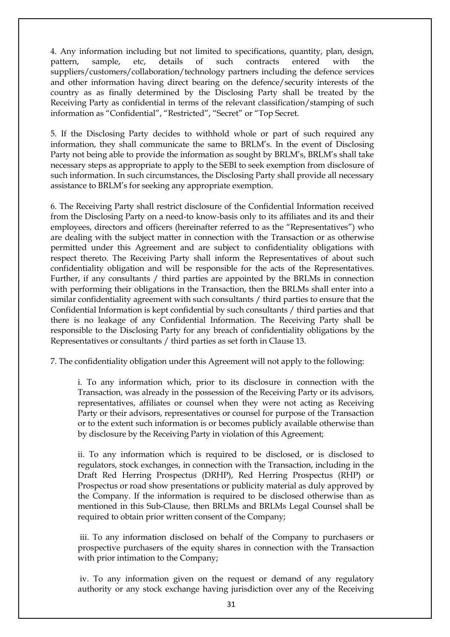4. Any information including but not limited to specifications, quantity, plan, design, pattern, sample, etc, details of such contracts entered with the suppliers/customers/collaboration/technology partners including the defence services and other information having direct bearing on the defence/security interests of the country as as finally determined by the Disclosing Party shall be treated by the Receiving Party as confidential in terms of the relevant classification/stamping of such information as "Confidential", "Restricted", "Secret" or "Top Secret.

5. If the Disclosing Party decides to withhold whole or part of such required any information, they shall communicate the same to BRLM"s. In the event of Disclosing Party not being able to provide the information as sought by BRLM"s, BRLM"s shall take necessary steps as appropriate to apply to the SEBI to seek exemption from disclosure of such information. In such circumstances, the Disclosing Party shall provide all necessary assistance to BRLM"s for seeking any appropriate exemption.

6. The Receiving Party shall restrict disclosure of the Confidential Information received from the Disclosing Party on a need-to know-basis only to its affiliates and its and their employees, directors and officers (hereinafter referred to as the "Representatives") who are dealing with the subject matter in connection with the Transaction or as otherwise permitted under this Agreement and are subject to confidentiality obligations with respect thereto. The Receiving Party shall inform the Representatives of about such confidentiality obligation and will be responsible for the acts of the Representatives. Further, if any consultants / third parties are appointed by the BRLMs in connection with performing their obligations in the Transaction, then the BRLMs shall enter into a similar confidentiality agreement with such consultants / third parties to ensure that the Confidential Information is kept confidential by such consultants / third parties and that there is no leakage of any Confidential Information. The Receiving Party shall be responsible to the Disclosing Party for any breach of confidentiality obligations by the Representatives or consultants / third parties as set forth in Clause 13.

7. The confidentiality obligation under this Agreement will not apply to the following:

i. To any information which, prior to its disclosure in connection with the Transaction, was already in the possession of the Receiving Party or its advisors, representatives, affiliates or counsel when they were not acting as Receiving Party or their advisors, representatives or counsel for purpose of the Transaction or to the extent such information is or becomes publicly available otherwise than by disclosure by the Receiving Party in violation of this Agreement;

ii. To any information which is required to be disclosed, or is disclosed to regulators, stock exchanges, in connection with the Transaction, including in the Draft Red Herring Prospectus (DRHP), Red Herring Prospectus (RHP) or Prospectus or road show presentations or publicity material as duly approved by the Company. If the information is required to be disclosed otherwise than as mentioned in this Sub-Clause, then BRLMs and BRLMs Legal Counsel shall be required to obtain prior written consent of the Company;

iii. To any information disclosed on behalf of the Company to purchasers or prospective purchasers of the equity shares in connection with the Transaction with prior intimation to the Company;

iv. To any information given on the request or demand of any regulatory authority or any stock exchange having jurisdiction over any of the Receiving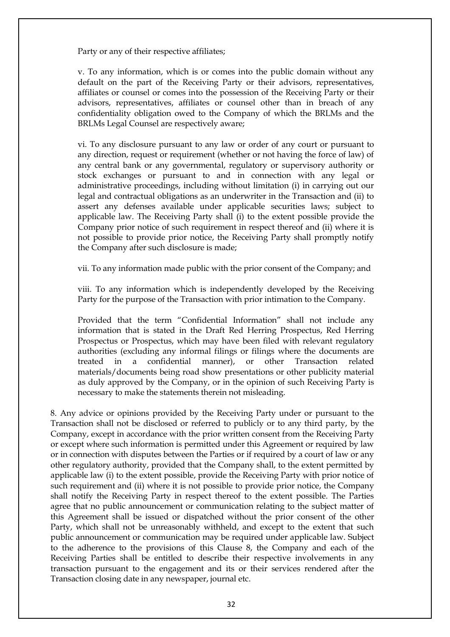Party or any of their respective affiliates;

v. To any information, which is or comes into the public domain without any default on the part of the Receiving Party or their advisors, representatives, affiliates or counsel or comes into the possession of the Receiving Party or their advisors, representatives, affiliates or counsel other than in breach of any confidentiality obligation owed to the Company of which the BRLMs and the BRLMs Legal Counsel are respectively aware;

vi. To any disclosure pursuant to any law or order of any court or pursuant to any direction, request or requirement (whether or not having the force of law) of any central bank or any governmental, regulatory or supervisory authority or stock exchanges or pursuant to and in connection with any legal or administrative proceedings, including without limitation (i) in carrying out our legal and contractual obligations as an underwriter in the Transaction and (ii) to assert any defenses available under applicable securities laws; subject to applicable law. The Receiving Party shall (i) to the extent possible provide the Company prior notice of such requirement in respect thereof and (ii) where it is not possible to provide prior notice, the Receiving Party shall promptly notify the Company after such disclosure is made;

vii. To any information made public with the prior consent of the Company; and

viii. To any information which is independently developed by the Receiving Party for the purpose of the Transaction with prior intimation to the Company.

Provided that the term "Confidential Information" shall not include any information that is stated in the Draft Red Herring Prospectus, Red Herring Prospectus or Prospectus, which may have been filed with relevant regulatory authorities (excluding any informal filings or filings where the documents are treated in a confidential manner), or other Transaction related materials/documents being road show presentations or other publicity material as duly approved by the Company, or in the opinion of such Receiving Party is necessary to make the statements therein not misleading.

8. Any advice or opinions provided by the Receiving Party under or pursuant to the Transaction shall not be disclosed or referred to publicly or to any third party, by the Company, except in accordance with the prior written consent from the Receiving Party or except where such information is permitted under this Agreement or required by law or in connection with disputes between the Parties or if required by a court of law or any other regulatory authority, provided that the Company shall, to the extent permitted by applicable law (i) to the extent possible, provide the Receiving Party with prior notice of such requirement and (ii) where it is not possible to provide prior notice, the Company shall notify the Receiving Party in respect thereof to the extent possible. The Parties agree that no public announcement or communication relating to the subject matter of this Agreement shall be issued or dispatched without the prior consent of the other Party, which shall not be unreasonably withheld, and except to the extent that such public announcement or communication may be required under applicable law. Subject to the adherence to the provisions of this Clause 8, the Company and each of the Receiving Parties shall be entitled to describe their respective involvements in any transaction pursuant to the engagement and its or their services rendered after the Transaction closing date in any newspaper, journal etc.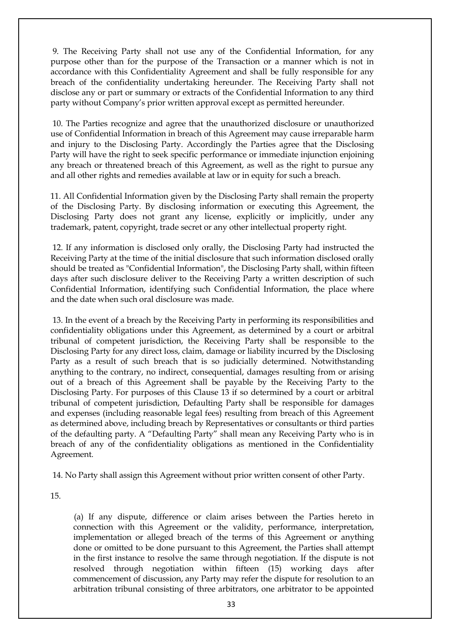9. The Receiving Party shall not use any of the Confidential Information, for any purpose other than for the purpose of the Transaction or a manner which is not in accordance with this Confidentiality Agreement and shall be fully responsible for any breach of the confidentiality undertaking hereunder. The Receiving Party shall not disclose any or part or summary or extracts of the Confidential Information to any third party without Company's prior written approval except as permitted hereunder.

10. The Parties recognize and agree that the unauthorized disclosure or unauthorized use of Confidential Information in breach of this Agreement may cause irreparable harm and injury to the Disclosing Party. Accordingly the Parties agree that the Disclosing Party will have the right to seek specific performance or immediate injunction enjoining any breach or threatened breach of this Agreement, as well as the right to pursue any and all other rights and remedies available at law or in equity for such a breach.

11. All Confidential Information given by the Disclosing Party shall remain the property of the Disclosing Party. By disclosing information or executing this Agreement, the Disclosing Party does not grant any license, explicitly or implicitly, under any trademark, patent, copyright, trade secret or any other intellectual property right.

12. If any information is disclosed only orally, the Disclosing Party had instructed the Receiving Party at the time of the initial disclosure that such information disclosed orally should be treated as "Confidential Information", the Disclosing Party shall, within fifteen days after such disclosure deliver to the Receiving Party a written description of such Confidential Information, identifying such Confidential Information, the place where and the date when such oral disclosure was made.

13. In the event of a breach by the Receiving Party in performing its responsibilities and confidentiality obligations under this Agreement, as determined by a court or arbitral tribunal of competent jurisdiction, the Receiving Party shall be responsible to the Disclosing Party for any direct loss, claim, damage or liability incurred by the Disclosing Party as a result of such breach that is so judicially determined. Notwithstanding anything to the contrary, no indirect, consequential, damages resulting from or arising out of a breach of this Agreement shall be payable by the Receiving Party to the Disclosing Party. For purposes of this Clause 13 if so determined by a court or arbitral tribunal of competent jurisdiction, Defaulting Party shall be responsible for damages and expenses (including reasonable legal fees) resulting from breach of this Agreement as determined above, including breach by Representatives or consultants or third parties of the defaulting party. A "Defaulting Party" shall mean any Receiving Party who is in breach of any of the confidentiality obligations as mentioned in the Confidentiality Agreement.

14. No Party shall assign this Agreement without prior written consent of other Party.

15.

(a) If any dispute, difference or claim arises between the Parties hereto in connection with this Agreement or the validity, performance, interpretation, implementation or alleged breach of the terms of this Agreement or anything done or omitted to be done pursuant to this Agreement, the Parties shall attempt in the first instance to resolve the same through negotiation. If the dispute is not resolved through negotiation within fifteen (15) working days after commencement of discussion, any Party may refer the dispute for resolution to an arbitration tribunal consisting of three arbitrators, one arbitrator to be appointed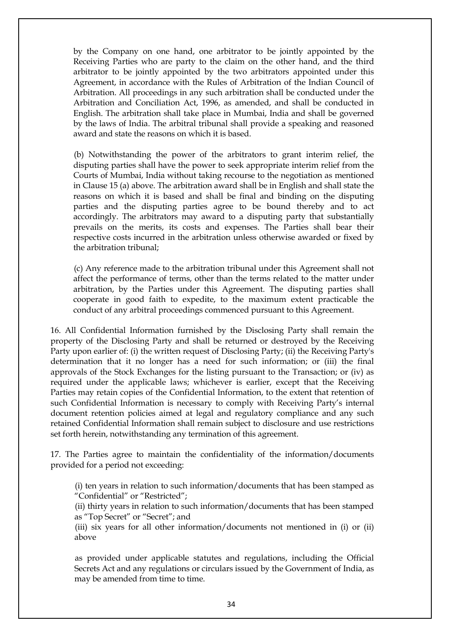by the Company on one hand, one arbitrator to be jointly appointed by the Receiving Parties who are party to the claim on the other hand, and the third arbitrator to be jointly appointed by the two arbitrators appointed under this Agreement, in accordance with the Rules of Arbitration of the Indian Council of Arbitration. All proceedings in any such arbitration shall be conducted under the Arbitration and Conciliation Act, 1996, as amended, and shall be conducted in English. The arbitration shall take place in Mumbai, India and shall be governed by the laws of India. The arbitral tribunal shall provide a speaking and reasoned award and state the reasons on which it is based.

(b) Notwithstanding the power of the arbitrators to grant interim relief, the disputing parties shall have the power to seek appropriate interim relief from the Courts of Mumbai, India without taking recourse to the negotiation as mentioned in Clause 15 (a) above. The arbitration award shall be in English and shall state the reasons on which it is based and shall be final and binding on the disputing parties and the disputing parties agree to be bound thereby and to act accordingly. The arbitrators may award to a disputing party that substantially prevails on the merits, its costs and expenses. The Parties shall bear their respective costs incurred in the arbitration unless otherwise awarded or fixed by the arbitration tribunal;

(c) Any reference made to the arbitration tribunal under this Agreement shall not affect the performance of terms, other than the terms related to the matter under arbitration, by the Parties under this Agreement. The disputing parties shall cooperate in good faith to expedite, to the maximum extent practicable the conduct of any arbitral proceedings commenced pursuant to this Agreement.

16. All Confidential Information furnished by the Disclosing Party shall remain the property of the Disclosing Party and shall be returned or destroyed by the Receiving Party upon earlier of: (i) the written request of Disclosing Party; (ii) the Receiving Party's determination that it no longer has a need for such information; or (iii) the final approvals of the Stock Exchanges for the listing pursuant to the Transaction; or (iv) as required under the applicable laws; whichever is earlier, except that the Receiving Parties may retain copies of the Confidential Information, to the extent that retention of such Confidential Information is necessary to comply with Receiving Party"s internal document retention policies aimed at legal and regulatory compliance and any such retained Confidential Information shall remain subject to disclosure and use restrictions set forth herein, notwithstanding any termination of this agreement.

17. The Parties agree to maintain the confidentiality of the information/documents provided for a period not exceeding:

(i) ten years in relation to such information/documents that has been stamped as "Confidential" or "Restricted";

(ii) thirty years in relation to such information/documents that has been stamped as "Top Secret" or "Secret"; and

(iii) six years for all other information/documents not mentioned in (i) or (ii) above

as provided under applicable statutes and regulations, including the Official Secrets Act and any regulations or circulars issued by the Government of India, as may be amended from time to time.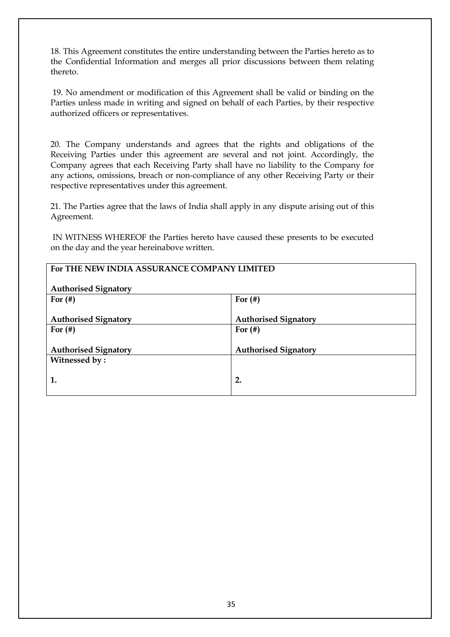18. This Agreement constitutes the entire understanding between the Parties hereto as to the Confidential Information and merges all prior discussions between them relating thereto.

19. No amendment or modification of this Agreement shall be valid or binding on the Parties unless made in writing and signed on behalf of each Parties, by their respective authorized officers or representatives.

20. The Company understands and agrees that the rights and obligations of the Receiving Parties under this agreement are several and not joint. Accordingly, the Company agrees that each Receiving Party shall have no liability to the Company for any actions, omissions, breach or non-compliance of any other Receiving Party or their respective representatives under this agreement.

21. The Parties agree that the laws of India shall apply in any dispute arising out of this Agreement.

IN WITNESS WHEREOF the Parties hereto have caused these presents to be executed on the day and the year hereinabove written.

| For THE NEW INDIA ASSURANCE COMPANY LIMITED                |                             |  |  |  |
|------------------------------------------------------------|-----------------------------|--|--|--|
| <b>Authorised Signatory</b>                                |                             |  |  |  |
| For $($ # $)$<br>For $($ #)                                |                             |  |  |  |
| <b>Authorised Signatory</b><br><b>Authorised Signatory</b> |                             |  |  |  |
| For $($ #)                                                 | For $($ #)                  |  |  |  |
| <b>Authorised Signatory</b>                                | <b>Authorised Signatory</b> |  |  |  |
| Witnessed by:                                              |                             |  |  |  |
| 2.<br>1.                                                   |                             |  |  |  |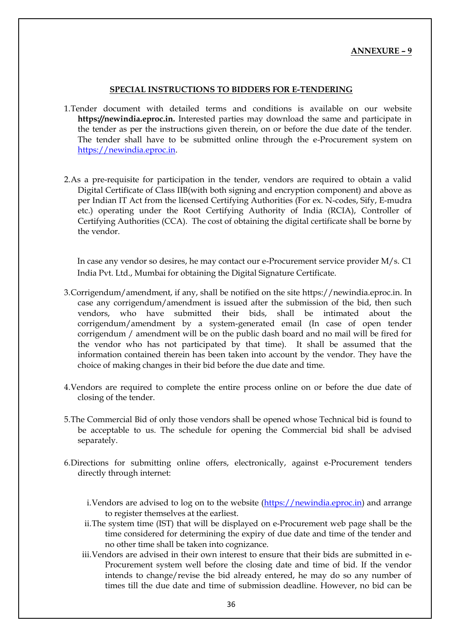### **ANNEXURE – 9**

### **SPECIAL INSTRUCTIONS TO BIDDERS FOR E-TENDERING**

- 1.Tender document with detailed terms and conditions is available on our website **https://newindia.eproc.in.** Interested parties may download the same and participate in the tender as per the instructions given therein, on or before the due date of the tender. The tender shall have to be submitted online through the e-Procurement system on [https://newindia.eproc.in.](https://newindia.eproc.in/)
- 2.As a pre-requisite for participation in the tender, vendors are required to obtain a valid Digital Certificate of Class IIB(with both signing and encryption component) and above as per Indian IT Act from the licensed Certifying Authorities (For ex. N-codes, Sify, E-mudra etc.) operating under the Root Certifying Authority of India (RCIA), Controller of Certifying Authorities (CCA). The cost of obtaining the digital certificate shall be borne by the vendor.

In case any vendor so desires, he may contact our e-Procurement service provider M/s. C1 India Pvt. Ltd., Mumbai for obtaining the Digital Signature Certificate.

- 3.Corrigendum/amendment, if any, shall be notified on the site [https://newindia.eproc.in.](https://newindia.eproc.in/) In case any corrigendum/amendment is issued after the submission of the bid, then such vendors, who have submitted their bids, shall be intimated about the corrigendum/amendment by a system-generated email (In case of open tender corrigendum / amendment will be on the public dash board and no mail will be fired for the vendor who has not participated by that time). It shall be assumed that the information contained therein has been taken into account by the vendor. They have the choice of making changes in their bid before the due date and time.
- 4.Vendors are required to complete the entire process online on or before the due date of closing of the tender.
- 5.The Commercial Bid of only those vendors shall be opened whose Technical bid is found to be acceptable to us. The schedule for opening the Commercial bid shall be advised separately.
- 6.Directions for submitting online offers, electronically, against e-Procurement tenders directly through internet:
	- i.Vendors are advised to log on to the website [\(https://newindia.eproc.in\)](https://newindia.eproc.in/) and arrange to register themselves at the earliest.
	- ii.The system time (IST) that will be displayed on e-Procurement web page shall be the time considered for determining the expiry of due date and time of the tender and no other time shall be taken into cognizance.
	- iii.Vendors are advised in their own interest to ensure that their bids are submitted in e-Procurement system well before the closing date and time of bid. If the vendor intends to change/revise the bid already entered, he may do so any number of times till the due date and time of submission deadline. However, no bid can be